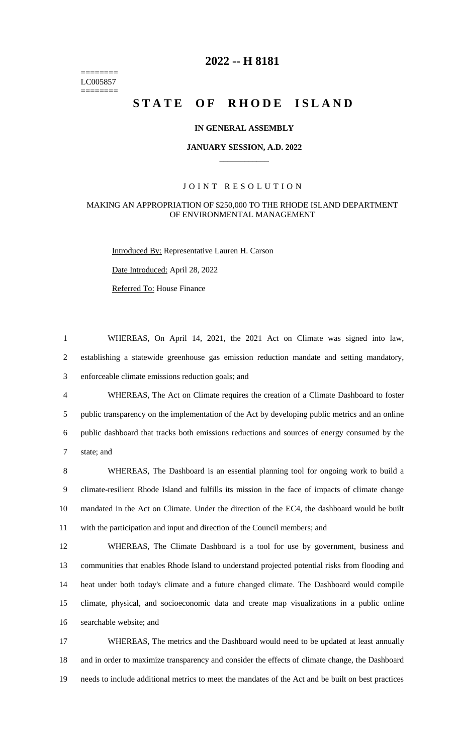======== LC005857 ========

# **-- H 8181**

# STATE OF RHODE ISLAND

#### **IN GENERAL ASSEMBLY**

#### **JANUARY SESSION, A.D. 2022 \_\_\_\_\_\_\_\_\_\_\_\_**

#### JOINT RESOLUTION

#### MAKING AN APPROPRIATION OF \$250,000 TO THE RHODE ISLAND DEPARTMENT OF ENVIRONMENTAL MANAGEMENT

Introduced By: Representative Lauren H. Carson

Date Introduced: April 28, 2022

Referred To: House Finance

 WHEREAS, On April 14, 2021, the 2021 Act on Climate was signed into law, establishing a statewide greenhouse gas emission reduction mandate and setting mandatory, enforceable climate emissions reduction goals; and WHEREAS, The Act on Climate requires the creation of a Climate Dashboard to foster public transparency on the implementation of the Act by developing public metrics and an online public dashboard that tracks both emissions reductions and sources of energy consumed by the

state; and

 WHEREAS, The Dashboard is an essential planning tool for ongoing work to build a climate-resilient Rhode Island and fulfills its mission in the face of impacts of climate change mandated in the Act on Climate. Under the direction of the EC4, the dashboard would be built with the participation and input and direction of the Council members; and

 WHEREAS, The Climate Dashboard is a tool for use by government, business and communities that enables Rhode Island to understand projected potential risks from flooding and heat under both today's climate and a future changed climate. The Dashboard would compile climate, physical, and socioeconomic data and create map visualizations in a public online searchable website; and

 WHEREAS, The metrics and the Dashboard would need to be updated at least annually and in order to maximize transparency and consider the effects of climate change, the Dashboard needs to include additional metrics to meet the mandates of the Act and be built on best practices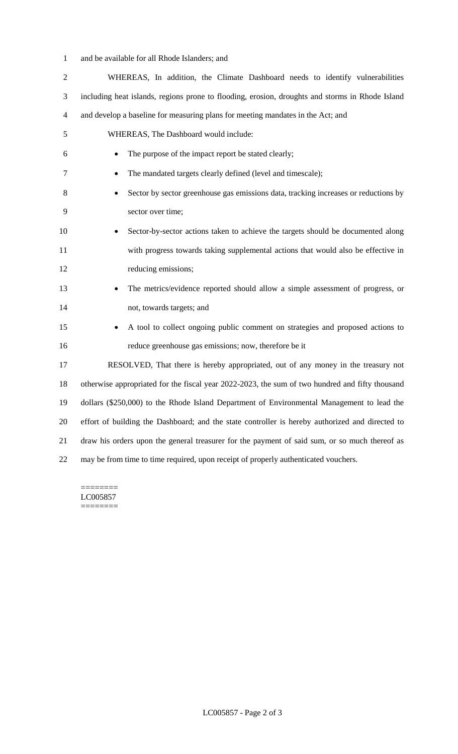and be available for all Rhode Islanders; and

| $\overline{2}$ | WHEREAS, In addition, the Climate Dashboard needs to identify vulnerabilities                   |
|----------------|-------------------------------------------------------------------------------------------------|
| 3              | including heat islands, regions prone to flooding, erosion, droughts and storms in Rhode Island |
| $\overline{4}$ | and develop a baseline for measuring plans for meeting mandates in the Act; and                 |
| 5              | WHEREAS, The Dashboard would include:                                                           |
| 6              | The purpose of the impact report be stated clearly;<br>٠                                        |
| 7              | The mandated targets clearly defined (level and timescale);                                     |
| 8              | Sector by sector greenhouse gas emissions data, tracking increases or reductions by<br>٠        |
| 9              | sector over time;                                                                               |
| 10             | Sector-by-sector actions taken to achieve the targets should be documented along                |
| 11             | with progress towards taking supplemental actions that would also be effective in               |
| 12             | reducing emissions;                                                                             |
| 13             | The metrics/evidence reported should allow a simple assessment of progress, or<br>٠             |
| 14             | not, towards targets; and                                                                       |
| 15             | A tool to collect ongoing public comment on strategies and proposed actions to                  |
| 16             | reduce greenhouse gas emissions; now, therefore be it                                           |
| 17             | RESOLVED, That there is hereby appropriated, out of any money in the treasury not               |
| 18             | otherwise appropriated for the fiscal year 2022-2023, the sum of two hundred and fifty thousand |
| 19             | dollars (\$250,000) to the Rhode Island Department of Environmental Management to lead the      |
| 20             | effort of building the Dashboard; and the state controller is hereby authorized and directed to |
| 21             | draw his orders upon the general treasurer for the payment of said sum, or so much thereof as   |
| 22             | may be from time to time required, upon receipt of properly authenticated vouchers.             |

======== LC005857  $=$